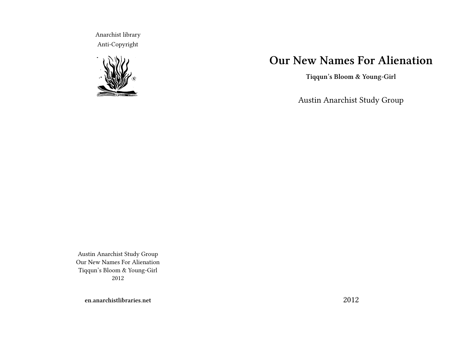Anarchist library Anti-Copyright



# **Our New Names For Alienation**

**Tiqqun's Bloom & Young-Girl**

Austin Anarchist Study Group

Austin Anarchist Study Group Our New Names For Alienation Tiqqun's Bloom & Young-Girl 2012

**en.anarchistlibraries.net**

2012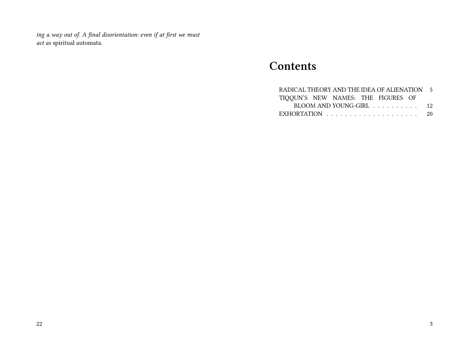*ing a way out of. A final disorientation: even if at first we must act as* spiritual automata.

## **Contents**

| RADICAL THEORY AND THE IDEA OF ALIENATION 5             |  |
|---------------------------------------------------------|--|
| TIQQUN'S NEW NAMES: THE FIGURES OF                      |  |
| $BLOOM$ AND YOUNG-GIRL $\ldots \ldots \ldots \ldots$ 12 |  |
|                                                         |  |
|                                                         |  |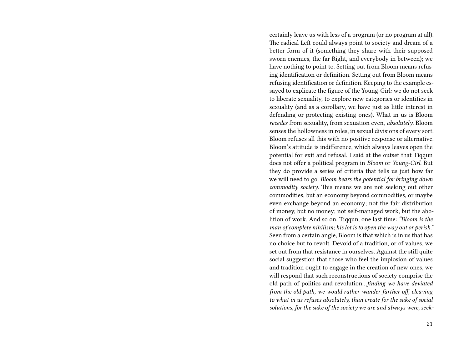certainly leave us with less of a program (or no program at all). The radical Left could always point to society and dream of a better form of it (something they share with their supposed sworn enemies, the far Right, and everybody in between); we have nothing to point to. Setting out from Bloom means refusing identification or definition. Setting out from Bloom means refusing identification or definition. Keeping to the example essayed to explicate the figure of the Young-Girl: we do not seek to liberate sexuality, to explore new categories or identities in sexuality (and as a corollary, we have just as little interest in defending or protecting existing ones). What in us is Bloom *recedes* from sexuality, from sexuation even, *absolutely*. Bloom senses the hollowness in roles, in sexual divisions of every sort. Bloom refuses all this with no positive response or alternative. Bloom's attitude is indifference, which always leaves open the potential for exit and refusal. I said at the outset that Tiqqun does not offer a political program in *Bloom* or *Young-Girl*. But they do provide a series of criteria that tells us just how far we will need to go. *Bloom bears the potential for bringing down commodity society*. This means we are not seeking out other commodities, but an economy beyond commodities, or maybe even exchange beyond an economy; not the fair distribution of money, but no money; not self-managed work, but the abolition of work. And so on. Tiqqun, one last time: *"Bloom is the man of complete nihilism; his lot is to open the way out or perish."* Seen from a certain angle, Bloom is that which is in us that has no choice but to revolt. Devoid of a tradition, or of values, we set out from that resistance in ourselves. Against the still quite social suggestion that those who feel the implosion of values and tradition ought to engage in the creation of new ones, we will respond that such reconstructions of society comprise the old path of politics and revolution…*finding we have deviated from the old path, we would rather wander farther off, cleaving to what in us refuses absolutely, than create for the sake of social solutions, for the sake of the society we are and always were, seek-*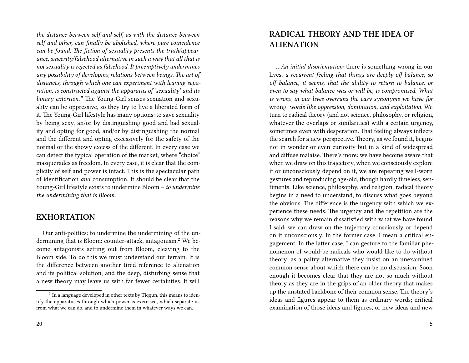*the distance between self and self, as with the distance between self and other, can finally be abolished, where pure coincidence can be found. The fiction of sexuality presents the truth/appearance, sincerity/falsehood alternative in such a way that all that is not sexuality is rejected as falsehood. It preemptively undermines any possibility of developing relations between beings. The art of distances, through which one can experiment with leaving separation, is constructed against the apparatus of 'sexuality' and its binary extortion."* The Young-Girl senses sexuation and sexuality can be oppressive, so they try to live a liberated form of it. The Young-Girl lifestyle has many options: to save sexuality by being sexy, an/or by distinguishing good and bad sexuality and opting for good, and/or by distinguishing the normal and the different and opting excessively for the safety of the normal or the showy excess of the different. In every case we can detect the typical operation of the market, where "choice" masquerades as freedom. In every case, it is clear that the complicity of self and power is intact. This is the spectacular path of identification *and* consumption. It should be clear that the Young-Girl lifestyle exists to undermine Bloom – *to undermine the undermining that is Bloom*.

#### **EXHORTATION**

Our anti-politics: to undermine the undermining of the undermining that is Bloom: counter-attack, antagonism.<sup>2</sup> We become antagonists setting out from Bloom, cleaving to the Bloom side. To do this we must understand our terrain. It is the difference between another tired reference to alienation and its political solution, and the deep, disturbing sense that a new theory may leave us with far fewer certainties. It will

### **RADICAL THEORY AND THE IDEA OF ALIENATION**

*…An initial disorientation:* there is something wrong in our lives, *a recurrent feeling that things are deeply off balance; so off balance, it seems, that the ability to return to balance, or even to say what balance was or will be, is compromised. What is wrong in our lives overruns the easy synonyms we have for* wrong, *words like oppression, domination, and exploitation.* We turn to radical theory (and not science, philosophy, or religion, whatever the overlaps or similarities) with a certain urgency, sometimes even with desperation. That feeling always inflects the search for a new perspective. Theory, as we found it, begins not in wonder or even curiosity but in a kind of widespread and diffuse malaise. There's more: we have become aware that when we draw on this trajectory, when we consciously explore it or unconsciously depend on it, we are repeating well-worn gestures and reproducing age-old, though hardly timeless, sentiments. Like science, philosophy, and religion, radical theory begins in a need to understand, to discuss what goes beyond the obvious. The difference is the urgency with which we experience these needs. The urgency and the repetition are the reasons why we remain dissatisfied with what we have found. I said: we can draw on the trajectory consciously or depend on it unconsciously. In the former case, I mean a critical engagement. In the latter case, I can gesture to the familiar phenomenon of would-be radicals who would like to do without theory; as a paltry alternative they insist on an unexamined common sense about which there can be no discussion. Soon enough it becomes clear that they are not so much without theory as they are in the grips of an older theory that makes up the unstated backbone of their common sense. The theory's ideas and figures appear to them as ordinary words; critical examination of those ideas and figures, or new ideas and new

 $^2$  In a language developed in other texts by Tiqqun, this means to identify the apparatuses through which power is exercised, which separate us from what we can do, and to undermine them in whatever ways we can.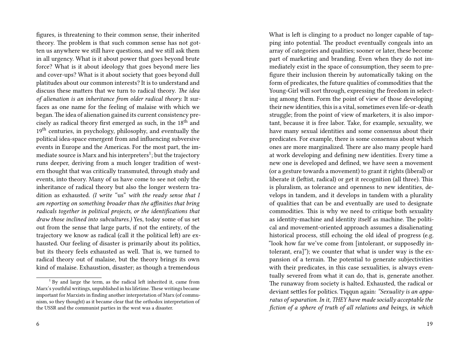figures, is threatening to their common sense, their inherited theory. The problem is that such common sense has not gotten us anywhere we still have questions, and we still ask them in all urgency. What is it about power that goes beyond brute force? What is it about ideology that goes beyond mere lies and cover-ups? What is it about society that goes beyond dull platitudes about our common interests? It is to understand and discuss these matters that we turn to radical theory. *The idea of alienation is an inheritance from older radical theory.* It surfaces as one name for the feeling of malaise with which we began. The idea of alienation gained its current consistency precisely as radical theory first emerged as such, in the 18<sup>th</sup> and 19<sup>th</sup> centuries, in psychology, philosophy, and eventually the political idea-space emergent from and influencing subversive events in Europe and the Americas. For the most part, the immediate source is Marx and his interpreters $^1;$  but the trajectory runs deeper, deriving from a much longer tradition of western thought that was critically transmuted, through study and events, into theory. Many of us have come to see not only the inheritance of radical theory but also the longer western tradition as exhausted. *(I write "*us" *with the ready sense that I am reporting on something broader than the affinities that bring radicals together in political projects, or the identifications that draw those inclined into subcultures.)* Yes, today some of us set out from the sense that large parts, if not the entirety, of the trajectory we know as radical (call it the political left) are exhausted. Our feeling of disaster is primarily about its politics, but its theory feels exhausted as well. That is, we turned to radical theory out of malaise, but the theory brings its own kind of malaise. Exhaustion, disaster; as though a tremendous

6

What is left is clinging to a product no longer capable of tapping into potential. The product eventually congeals into an array of categories and qualities; sooner or later, these become part of marketing and branding. Even when they do not immediately exist in the space of consumption, they seem to prefigure their inclusion therein by automatically taking on the form of predicates, the future qualities of commodities that the Young-Girl will sort through, expressing the freedom in selecting among them. Form the point of view of those developing their new identities, this is a vital, sometimes even life-or-death struggle; from the point of view of marketers, it is also important, because it is free labor. Take, for example, sexuality, we have many sexual identities and some consensus about their predicates. For example, there is some consensus about which ones are more marginalized. There are also many people hard at work developing and defining new identities. Every time a new one is developed and defined, we have seen a movement (or a gesture towards a movement) to grant it rights (liberal) or liberate it (leftist, radical) or get it recognition (all three). This is pluralism, as tolerance and openness to new identities, develops in tandem, and it develops in tandem with a plurality of qualities that can be and eventually are used to designate commodities. This is why we need to critique both sexuality as identity-machine and identity itself as machine. The political and movement-oriented approach assumes a disalienating historical process, still echoing the old ideal of progress (e.g. "look how far we've come from [intolerant, or supposedly intolerant, era]"); we counter that what is under way is the expansion of a terrain. The potential to generate subjectivities with their predicates, in this case sexualities, is always eventually severed from what it can do, that is, generate another. The runaway from society is halted. Exhausted, the radical or deviant settles for politics. Tiqqun again: *"Sexuality is an apparatus of separation. In it, THEY have made socially acceptable the fiction of a sphere of truth of all relations and beings, in which*

 $1$  By and large the term, as the radical left inherited it, came from Marx's youthful writings, unpublished in his lifetime. These writings became important for Marxists in finding another interpretation of Marx (of communism, so they thought) as it became clear that the orthodox interpretation of the USSR and the communist parties in the west was a disaster.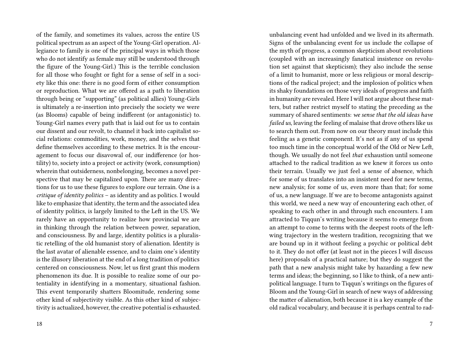of the family, and sometimes its values, across the entire US political spectrum as an aspect of the Young-Girl operation. Allegiance to family is one of the principal ways in which those who do not identify as female may still be understood through the figure of the Young-Girl.) This is the terrible conclusion for all those who fought or fight for a sense of self in a society like this one: there is no good form of either consumption or reproduction. What we are offered as a path to liberation through being or "supporting" (as political allies) Young-Girls is ultimately a re-insertion into precisely the society we were (as Blooms) capable of being indifferent (or antagonistic) to. Young-Girl names every path that is laid out for us to contain our dissent and our revolt, to channel it back into capitalist social relations: commodities, work, money, and the selves that define themselves according to these metrics. It is the encouragement to focus our disavowal of, our indifference (or hostility) to, society into a project or activity (work, consumption) wherein that outsiderness, nonbelonging, becomes a novel perspective that may be capitalized upon. There are many directions for us to use these figures to explore our terrain. One is a *critique of identity politics* – as identity and as politics. I would like to emphasize that identity, the term and the associated idea of identity politics, is largely limited to the Left in the US. We rarely have an opportunity to realize how provincial we are in thinking through the relation between power, separation, and consciousness. By and large, identity politics is a pluralistic retelling of the old humanist story of alienation. Identity is the last avatar of alienable essence, and to claim one's identity is the illusory liberation at the end of a long tradition of politics centered on consciousness. Now, let us first grant this modern phenomenon its due. It is possible to realize some of our potentiality in identifying in a momentary, situational fashion. This event temporarily shatters Bloomitude, rendering some other kind of subjectivity visible. As this other kind of subjectivity is actualized, however, the creative potential is exhausted.

18

unbalancing event had unfolded and we lived in its aftermath. Signs of the unbalancing event for us include the collapse of the myth of progress, a common skepticism about revolutions (coupled with an increasingly fanatical insistence on revolution set against that skepticism); they also include the sense of a limit to humanist, more or less religious or moral descriptions of the radical project; and the implosion of politics when its shaky foundations on those very ideals of progress and faith in humanity are revealed. Here I will not argue about these matters, but rather restrict myself to stating the preceding as the summary of shared sentiments: *we sense that the old ideas have failed us,* leaving the feeling of malaise that drove others like us to search them out. From now on our theory must include this feeling as a genetic component. It's not as if any of us spend too much time in the conceptual world of the Old or New Left, though. We usually do not feel *that* exhaustion until someone attached to the radical tradition as we knew it forces us onto their terrain. Usually we just feel a sense of absence, which for some of us translates into an insistent need for new terms, new analysis; for some of us, even more than that; for some of us, a new language. If we are to become antagonists against this world, we need a new way of encountering each other, of speaking to each other in and through such encounters. I am attracted to Tiqqun's writing because it seems to emerge from an attempt to come to terms with the deepest roots of the leftwing trajectory in the western tradition, recognizing that we are bound up in it without feeling a psychic or political debt to it. They do not offer (at least not in the pieces I will discuss here) proposals of a practical nature; but they do suggest the path that a new analysis might take by hazarding a few new terms and ideas; the beginning, so I like to think, of a new antipolitical language. I turn to Tiqqun's writings on the figures of Bloom and the Young-Girl in search of new ways of addressing the matter of alienation, both because it is a key example of the old radical vocabulary, and because it is perhaps central to rad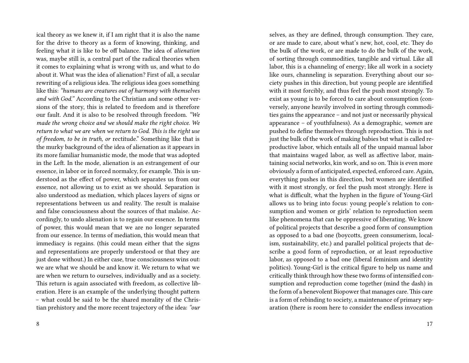ical theory as we knew it, if I am right that it is also the name for the drive to theory as a form of knowing, thinking, and feeling what it is like to be off balance. The idea of *alienation* was, maybe still is, a central part of the radical theories when it comes to explaining what is wrong with us, and what to do about it. What was the idea of alienation? First of all, a secular rewriting of a religious idea. The religious idea goes something like this: *"humans are creatures out of harmony with themselves and with God."* According to the Christian and some other versions of the story, this is related to freedom and is therefore our fault. And it is also to be resolved through freedom. *"We made the wrong choice and we should make the right choice. We return to what we are when we return to God. This is the right use of freedom, to be in truth, or* rectitude." Something like that is the murky background of the idea of alienation as it appears in its more familiar humanistic mode, the mode that was adopted in the Left. In the mode, alienation is an estrangement of our essence, in labor or in forced normalcy, for example. This is understood as the effect of power, which separates us from our essence, not allowing us to exist as we should. Separation is also understood as mediation, which places layers of signs or representations between us and reality. The result is malaise and false consciousness about the sources of that malaise. Accordingly, to undo alienation is to regain our essence. In terms of power, this would mean that we are no longer separated from our essence. In terms of mediation, this would mean that immediacy is regains. (this could mean either that the signs and representations are properly understood or that they are just done without.) In either case, true consciousness wins out: we are what we should be and know it. We return to what we are when we return to ourselves, individually and as a society. This return is again associated with freedom, as collective liberation. Here is an example of the underlying thought pattern – what could be said to be the shared morality of the Christian prehistory and the more recent trajectory of the idea: *"our*

8

selves, as they are defined, through consumption. They care, or are made to care, about what's new, hot, cool, etc. They do the bulk of the work, or are made to do the bulk of the work, of sorting through commodities, tangible and virtual. Like all labor, this is a channeling of energy; like all work in a society like ours, channeling is separation. Everything about our society pushes in this direction, but young people are identified with it most forcibly, and thus feel the push most strongly. To exist as young is to be forced to care about consumption (conversely, anyone heavily involved in sorting through commodities gains the appearance – and not just or necessarily physical appearance – of youthfulness). As a demographic, *women* are pushed to define themselves through reproduction. This is not just the bulk of the work of making babies but what is called reproductive labor, which entails all of the unpaid manual labor that maintains waged labor, as well as affective labor, maintaining social networks, kin work, and so on. This is even more obviously a form of anticipated, expected, enforced care. Again, everything pushes in this direction, but women are identified with it most strongly, or feel the push most strongly. Here is what is difficult, what the hyphen in the figure of Young-Girl allows us to bring into focus: young people's relation to consumption and women or girls' relation to reproduction seem like phenomena that can be oppressive of liberating. We know of political projects that describe a good form of consumption as opposed to a bad one (boycotts, green consumerism, localism, sustainability, etc.) and parallel political projects that describe a good form of reproduction, or at least reproductive labor, as opposed to a bad one (liberal feminism and identity politics). Young-Girl is the critical figure to help us name and critically think through how these two forms of intensified consumption and reproduction come together (mind the dash) in the form of a benevolent Biopower that manages care. This care is a form of rebinding to society, a maintenance of primary separation (there is room here to consider the endless invocation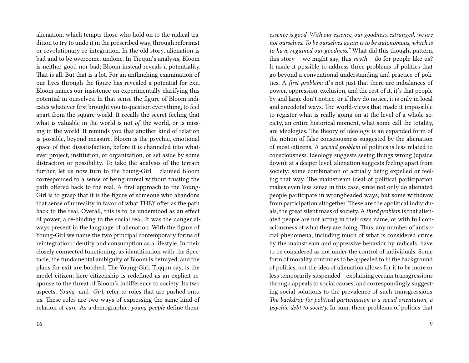alienation, which tempts those who hold on to the radical tradition to try to undo it in the prescribed way, through reformist or revolutionary re-integration. In the old story, alienation is bad and to be overcome, undone. In Tiqqun's analysis, Bloom is neither good nor bad; Bloom instead reveals a potentiality. That is all. But that is a lot. For an unflinching examination of our lives through the figure has revealed a potential for exit. Bloom names our insistence on experimentally clarifying this potential in ourselves. In that sense the figure of Bloom indicates whatever first brought you to question everything, to feel apart from the square world. It recalls the secret feeling that what is valuable in the world is not *of* the world, or is missing in the world. It reminds you that another kind of relation is possible, beyond measure. Bloom is the psychic, emotional space of that dissatisfaction, before it is channeled into whatever project, institution, or organization, or set aside by some distraction or possibility. To take the analysis of the terrain further, let us now turn to the Young-Girl. I claimed Bloom corresponded to a sense of being unreal without trusting the path offered back to the real. A first approach to the Young-Girl is to grasp that it is the figure of someone who abandons that sense of unreality in favor of what THEY offer as the path back to the real. Overall, this is to be understood as an effect of power, a re-binding to the social real. It was the danger always present in the language of alienation. With the figure of Young-Girl we name the two principal contemporary forms of reintegration: identity and consumption as a lifestyle. In their closely connected functioning, as identification with the Spectacle, the fundamental ambiguity of Bloom is betrayed, and the plans for exit are botched. The Young-Girl, Tiqqun say, is the model citizen; here citizenship is redefined as an explicit response to the threat of Bloom's indifference to society. Its two aspects, *Young-* and *-Girl*, refer to roles that are pushed onto us. These roles are two ways of expressing the same kind of relation of *care*. As a demographic, *young people* define them-

*essence is good. With our essence, our goodness, estranged, we are not ourselves. To be ourselves again is to be autonomous, which is to have regained our goodness."* What did this thought pattern, this story – we might say, this *myth* – do for people like us? It made it possible to address three problems of politics that go beyond a conventional understanding and practice of politics. A *first problem*: it's not just that there are imbalances of power, oppression, exclusion, and the rest of it. it's that people by and large don't notice, or if they do notice, it is only in local and anecdotal ways. The world-views that made it impossible to register what is really going on at the level of a whole society, an entire historical moment, what some call the totality, are ideologies. The theory of ideology is an expanded form of the notion of false consciousness suggested by the alienation of most citizens. A *second problem* of politics is less related to consciousness. Ideology suggests seeing things wrong (upside down); at a deeper level, alienation suggests feeling apart from society: some combination of actually being expelled or feeling that way. The mainstream ideal of political participation makes even less sense in this case, since not only do alienated people participate in wrongheaded ways, but some withdraw from participation altogether. These are the apolitical individuals, the great silent mass of society. A *third problem* is that alienated people are not acting in their own name, or with full consciousness of what they are doing. Thus, any number of antisocial phenomena, including much of what is considered crime by the mainstream and oppressive behavior by radicals, have to be considered as not under the control of individuals. Some form of morality continues to be appealed to in the background of politics, but the idea of alienation allows for it to be more or less temporarily suspended – explaining certain transgressions through appeals to social causes, and correspondingly suggesting social solutions to the prevalence of such transgressions. *The backdrop for political participation is a social orientation, a psychic debt to society.* In sum, these problems of politics that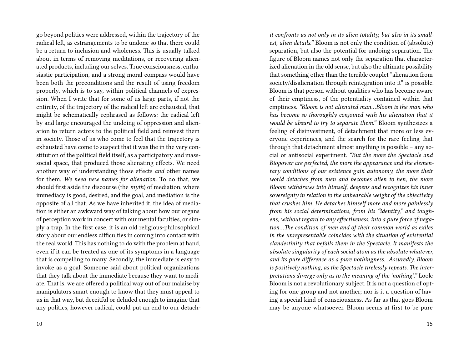go beyond politics were addressed, within the trajectory of the radical left, as estrangements to be undone so that there could be a return to inclusion and wholeness. This is usually talked about in terms of removing meditations, or recovering alienated products, including our selves. True consciousness, enthusiastic participation, and a strong moral compass would have been both the preconditions and the result of using freedom properly, which is to say, within political channels of expression. When I write that for some of us large parts, if not the entirety, of the trajectory of the radical left are exhausted, that might be schematically rephrased as follows: the radical left by and large encouraged the undoing of oppression and alienation to return actors to the political field and reinvest them in society. Those of us who come to feel that the trajectory is exhausted have come to suspect that it was the in the very constitution of the political field itself, as a participatory and masssocial space, that produced those alienating effects. We need another way of understanding those effects *and* other names for them. *We need new names for alienation*. To do that, we should first aside the discourse (the *myth*) of mediation, where immediacy is good, desired, and the goal, and mediation is the opposite of all that. As we have inherited it, the idea of mediation is either an awkward way of talking about how our organs of perception work in concert with our mental faculties, or simply a trap. In the first case, it is an old religious-philosophical story about our endless difficulties in coming into contact with the real world. This has nothing to do with the problem at hand, even if it can be treated as one of its symptoms in a language that is compelling to many. Secondly, the immediate is easy to invoke as a goal. Someone said about political organizations that they talk about the immediate because they want to mediate. That is, we are offered a political way out of our malaise by manipulators smart enough to know that they must appeal to us in that way, but deceitful or deluded enough to imagine that any politics, however radical, could put an end to our detach-

10

*it confronts us not only in its alien totality, but also in its smallest, alien details."* Bloom is not only the condition of (absolute) separation, but also the potential for undoing separation. The figure of Bloom names not only the separation that characterized alienation in the old sense, but also the ultimate possibility that something other than the terrible couplet "alienation from society/disalienation through reintegration into it" is possible. Bloom is that person without qualities who has become aware of their emptiness, of the potentiality contained within that emptiness. *"Bloom is not alienated man…Bloom is the man who has become so thoroughly conjoined with his alienation that it would be absurd to try to separate them."* Bloom synthesizes a feeling of disinvestment, of detachment that more or less everyone experiences, and the search for the rare feeling that through that detachment almost anything is possible – any social or antisocial experiment. *"But the more the Spectacle and Biopower are perfected, the more the appearance and the elementary conditions of our existence gain autonomy, the more their world detaches from men and becomes alien to hen, the more Bloom withdraws into himself, deepens and recognizes his inner sovereignty in relation to the unbearable weight of the objectivity that crushes him. He detaches himself more and more painlessly from his social determinations, from his "identity," and toughens, without regard to any effectiveness, into a pure force of negation…The condition of men and of their common world as exiles in the unrepresentable coincides with the situation of existential clandestinity that befalls them in the Spectacle. It manifests the absolute singularity of each social atom as the absolute whatever, and its pure difference as a pure nothingness…Assuredly, Bloom is positively nothing, as the Spectacle tirelessly repeats. The interpretations diverge only as to the meaning of the 'nothing'."* Look: Bloom is not a revolutionary subject. It is not a question of opting for one group and not another; nor is it a question of having a special kind of consciousness. As far as that goes Bloom may be anyone whatsoever. Bloom seems at first to be pure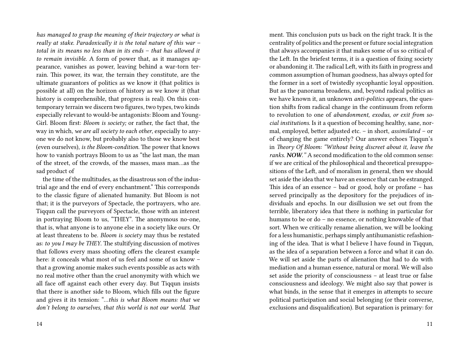*has managed to grasp the meaning of their trajectory or what is really at stake. Paradoxically it is the total nature of this war – total in its means no less than in its ends – that has allowed it to remain invisible.* A form of power that, as it manages appearance, vanishes as power, leaving behind a war-torn terrain. This power, its war, the terrain they constitute, are the ultimate guarantors of politics as we know it (that politics is possible at all) on the horizon of history as we know it (that history is comprehensible, that progress is real). On this contemporary terrain we discern two figures, two types, two kinds especially relevant to would-be antagonists: Bloom and Young-Girl. Bloom first: *Bloom is society;* or rather, the fact that, the way in which, *we are all society to each other*, especially to anyone we do not know, but probably also to those we know best (even ourselves), *is the Bloom-condition.* The power that knows how to vanish portrays Bloom to us as "the last man, the man of the street, of the crowds, of the masses, mass man…as the sad product of

the time of the multitudes, as the disastrous son of the industrial age and the end of every enchantment." This corresponds to the classic figure of alienated humanity. But Bloom is not that; it is the purveyors of Spectacle, the portrayers, who are. Tiqqun call the purveyors of Spectacle, those with an interest in portraying Bloom to us, "THEY". The anonymous no-one, that is, what anyone is to anyone else in a society like ours. Or at least threatens to be. *Bloom is society* may thus be restated as: *to you I may be THEY*. The stultifying discussion of motives that follows every mass shooting offers the clearest example here: it conceals what most of us feel and some of us know – that a growing anomie makes such events possible as acts with no real motive other than the cruel anonymity with which we all face off against each other every day. But Tiqqun insists that there is another side to Bloom, which fills out the figure and gives it its tension: "…*this is what Bloom means: that we don't belong to ourselves, that this world is not our world. That*

centrality of politics and the present or future social integration that always accompanies it that makes some of us so critical of the Left. In the briefest terms, it is a question of fixing society or abandoning it. The radical Left, with its faith in progress and common assumption of human goodness, has always opted for the former in a sort of twistedly sycophantic loyal opposition. But as the panorama broadens, and, beyond radical politics as we have known it, an unknown *anti-politics* appears, the question shifts from radical change in the continuum from reform to revolution to one of *abandonment, exodus, or exit from social institutions*. Is it a question of becoming healthy, sane, normal, employed, better adjusted etc. – in short, *assimilated* – or of changing the game entirely? Our answer echoes Tiqqun's in *Theory Of Bloom: "Without being discreet about it, leave the ranks. NOW."* A second modification to the old common sense: if we are critical of the philosophical and theoretical presuppositions of the Left, and of moralism in general, then we should set aside the idea that we have an essence that can be estranged. This idea of an essence – bad or good, holy or profane – has served principally as the depository for the prejudices of individuals and epochs. In our disillusion we set out from the terrible, liberatory idea that there is nothing in particular for humans to be or do – no essence, or nothing knowable of that sort. When we critically rename alienation, we will be looking for a less humanistic, perhaps simply antihumanistic refashioning of the idea. That is what I believe I have found in Tiqqun, as the idea of a separation between a force and what it can do. We will set aside the parts of alienation that had to do with mediation and a human essence, natural or moral. We will also set aside the priority of consciousness – at least true or false consciousness and ideology. We might also say that power is what binds, in the sense that it emerges in attempts to secure political participation and social belonging (or their converse, exclusions and disqualification). But separation is primary: for

ment. This conclusion puts us back on the right track. It is the